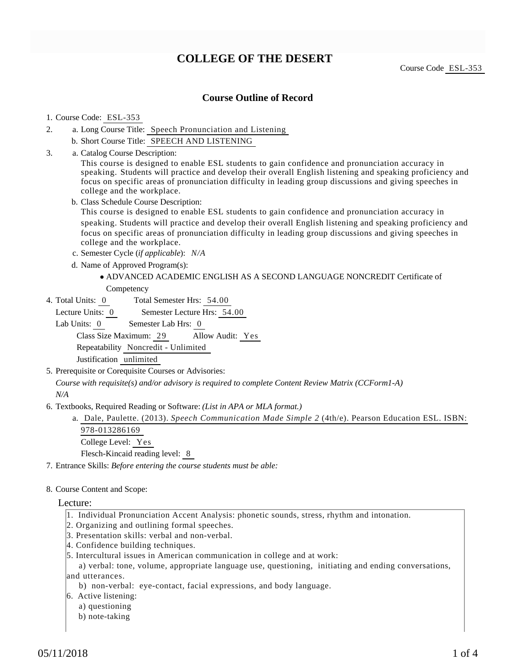# **COLLEGE OF THE DESERT**

Course Code ESL-353

### **Course Outline of Record**

### 1. Course Code: ESL-353

- a. Long Course Title: Speech Pronunciation and Listening 2.
	- b. Short Course Title: SPEECH AND LISTENING
- Catalog Course Description: a. 3.

This course is designed to enable ESL students to gain confidence and pronunciation accuracy in speaking. Students will practice and develop their overall English listening and speaking proficiency and focus on specific areas of pronunciation difficulty in leading group discussions and giving speeches in college and the workplace.

b. Class Schedule Course Description:

This course is designed to enable ESL students to gain confidence and pronunciation accuracy in speaking. Students will practice and develop their overall English listening and speaking proficiency and focus on specific areas of pronunciation difficulty in leading group discussions and giving speeches in college and the workplace.

- c. Semester Cycle (*if applicable*): *N/A*
- d. Name of Approved Program(s):
	- ADVANCED ACADEMIC ENGLISH AS A SECOND LANGUAGE NONCREDIT Certificate of **Competency**
- Total Semester Hrs: 54.00 4. Total Units: 0

Lecture Units: 0 Semester Lecture Hrs: 54.00

Lab Units: 0 Semester Lab Hrs: 0 Class Size Maximum: 29 Allow Audit: Yes Repeatability Noncredit - Unlimited Justification unlimited

5. Prerequisite or Corequisite Courses or Advisories:

*Course with requisite(s) and/or advisory is required to complete Content Review Matrix (CCForm1-A) N/A*

- 6. Textbooks, Required Reading or Software: (List in APA or MLA format.)
	- a. Dale, Paulette. (2013). *Speech Communication Made Simple 2* (4th/e). Pearson Education ESL. ISBN: 978-013286169 College Level: Yes

Flesch-Kincaid reading level: 8

7. Entrance Skills: *Before entering the course students must be able:*

8. Course Content and Scope:

### Lecture:

- 1. Individual Pronunciation Accent Analysis: phonetic sounds, stress, rhythm and intonation.
- 2. Organizing and outlining formal speeches.
- 3. Presentation skills: verbal and non-verbal.
- 4. Confidence building techniques.
- 5. Intercultural issues in American communication in college and at work:

 a) verbal: tone, volume, appropriate language use, questioning, initiating and ending conversations, and utterances.

- b) non-verbal: eye-contact, facial expressions, and body language.
- 6. Active listening:
	- a) questioning
	- b) note-taking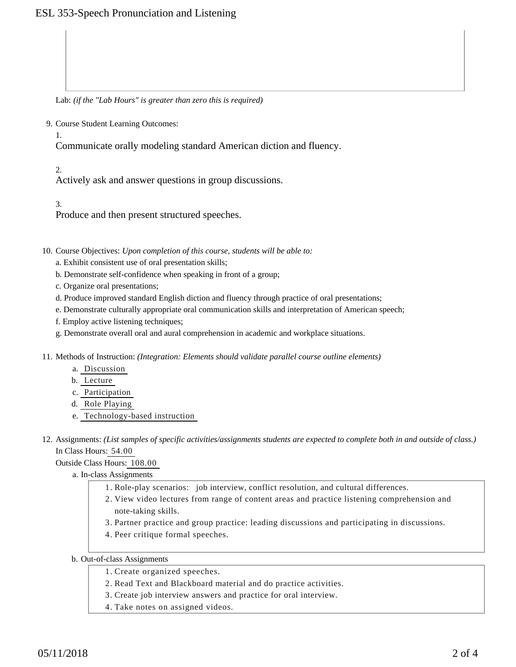# ESL 353-Speech Pronunciation and Listening

Lab: *(if the "Lab Hours" is greater than zero this is required)*

9. Course Student Learning Outcomes:

1.

Communicate orally modeling standard American diction and fluency.

 $2<sup>2</sup>$ 

Actively ask and answer questions in group discussions.

3.

Produce and then present structured speeches.

10. Course Objectives: Upon completion of this course, students will be able to:

- a. Exhibit consistent use of oral presentation skills;
- b. Demonstrate self-confidence when speaking in front of a group;
- c. Organize oral presentations;
- d. Produce improved standard English diction and fluency through practice of oral presentations;
- e. Demonstrate culturally appropriate oral communication skills and interpretation of American speech;
- f. Employ active listening techniques;
- g. Demonstrate overall oral and aural comprehension in academic and workplace situations.
- 11. Methods of Instruction: *(Integration: Elements should validate parallel course outline elements)* 
	- a. Discussion
	- b. Lecture
	- c. Participation
	- d. Role Playing
	- e. Technology-based instruction

12. Assignments: (List samples of specific activities/assignments students are expected to complete both in and outside of class.) In Class Hours: 54.00

Outside Class Hours: 108.00

a. In-class Assignments

- 1. Role-play scenarios: job interview, conflict resolution, and cultural differences.
- 2. View video lectures from range of content areas and practice listening comprehension and note-taking skills.
- 3. Partner practice and group practice: leading discussions and participating in discussions.
- 4. Peer critique formal speeches.

### b. Out-of-class Assignments

- 1. Create organized speeches.
- 2. Read Text and Blackboard material and do practice activities.
- 3. Create job interview answers and practice for oral interview.
- 4. Take notes on assigned videos.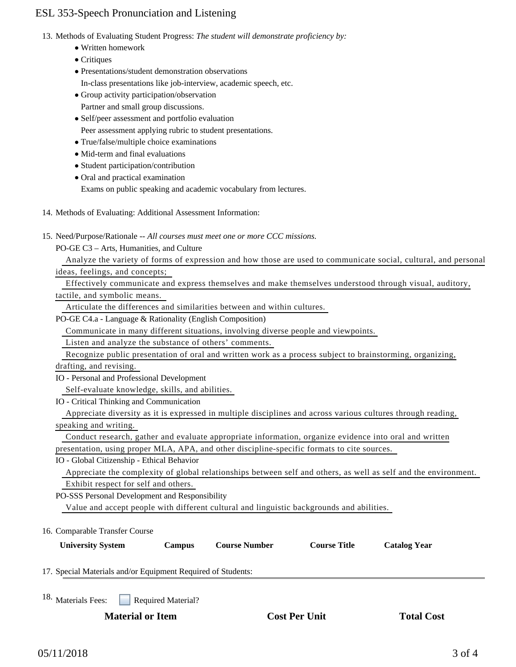# ESL 353-Speech Pronunciation and Listening

- 13. Methods of Evaluating Student Progress: The student will demonstrate proficiency by:
	- Written homework
	- Critiques
	- Presentations/student demonstration observations
	- In-class presentations like job-interview, academic speech, etc.
	- Group activity participation/observation
	- Partner and small group discussions.
	- Self/peer assessment and portfolio evaluation
	- Peer assessment applying rubric to student presentations.
	- True/false/multiple choice examinations
	- Mid-term and final evaluations
	- Student participation/contribution
	- Oral and practical examination

Exams on public speaking and academic vocabulary from lectures.

- 14. Methods of Evaluating: Additional Assessment Information:
- 15. Need/Purpose/Rationale -- All courses must meet one or more CCC missions.
	- PO-GE C3 Arts, Humanities, and Culture

Analyze the variety of forms of expression and how those are used to communicate social, cultural, and personal

ideas, feelings, and concepts;

Effectively communicate and express themselves and make themselves understood through visual, auditory,

tactile, and symbolic means.

Articulate the differences and similarities between and within cultures.

PO-GE C4.a - Language & Rationality (English Composition)

Communicate in many different situations, involving diverse people and viewpoints.

Listen and analyze the substance of others' comments.

Recognize public presentation of oral and written work as a process subject to brainstorming, organizing,

drafting, and revising.

IO - Personal and Professional Development

Self-evaluate knowledge, skills, and abilities.

IO - Critical Thinking and Communication

 Appreciate diversity as it is expressed in multiple disciplines and across various cultures through reading, speaking and writing.

 Conduct research, gather and evaluate appropriate information, organize evidence into oral and written presentation, using proper MLA, APA, and other discipline-specific formats to cite sources.

IO - Global Citizenship - Ethical Behavior

 Appreciate the complexity of global relationships between self and others, as well as self and the environment. Exhibit respect for self and others.

PO-SSS Personal Development and Responsibility

Value and accept people with different cultural and linguistic backgrounds and abilities.

16. Comparable Transfer Course

| <b>University System</b>                                     |  | <b>Campus</b>             | <b>Course Number</b> | <b>Course Title</b> | <b>Catalog Year</b> |
|--------------------------------------------------------------|--|---------------------------|----------------------|---------------------|---------------------|
| 17. Special Materials and/or Equipment Required of Students: |  |                           |                      |                     |                     |
| 18. Materials Fees:                                          |  | <b>Required Material?</b> |                      |                     |                     |

**Material or Item Cost Per Unit Total Cost Per Unit Total Cost Per Unit Cost Per Unit Cost Per Cost Per Unit Cost Per Cost Per Cost Per Cost Per Cost Per Cost Per Cost Per Cost Per Cost Per Cost Per Cost Per Cost Per Cost**